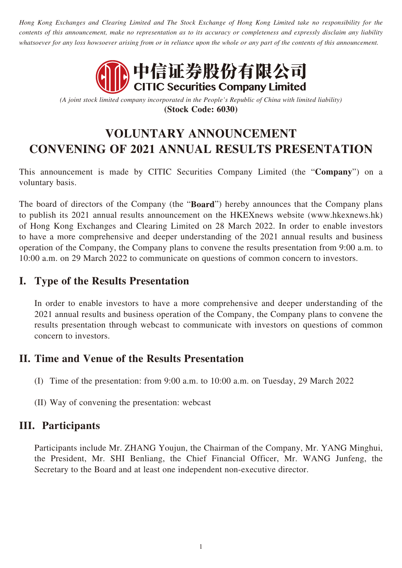*Hong Kong Exchanges and Clearing Limited and The Stock Exchange of Hong Kong Limited take no responsibility for the contents of this announcement, make no representation as to its accuracy or completeness and expressly disclaim any liability whatsoever for any loss howsoever arising from or in reliance upon the whole or any part of the contents of this announcement.*



*(A joint stock limited company incorporated in the People's Republic of China with limited liability)* **(Stock Code: 6030)**

# **VOLUNTARY ANNOUNCEMENT CONVENING OF 2021 ANNUAL RESULTS PRESENTATION**

This announcement is made by CITIC Securities Company Limited (the "**Company**") on a voluntary basis.

The board of directors of the Company (the "**Board**") hereby announces that the Company plans to publish its 2021 annual results announcement on the HKEXnews website (www.hkexnews.hk) of Hong Kong Exchanges and Clearing Limited on 28 March 2022. In order to enable investors to have a more comprehensive and deeper understanding of the 2021 annual results and business operation of the Company, the Company plans to convene the results presentation from 9:00 a.m. to 10:00 a.m. on 29 March 2022 to communicate on questions of common concern to investors.

## **I. Type of the Results Presentation**

In order to enable investors to have a more comprehensive and deeper understanding of the 2021 annual results and business operation of the Company, the Company plans to convene the results presentation through webcast to communicate with investors on questions of common concern to investors.

#### **II. Time and Venue of the Results Presentation**

- (I) Time of the presentation: from 9:00 a.m. to 10:00 a.m. on Tuesday, 29 March 2022
- (II) Way of convening the presentation: webcast

#### **III. Participants**

Participants include Mr. ZHANG Youjun, the Chairman of the Company, Mr. YANG Minghui, the President, Mr. SHI Benliang, the Chief Financial Officer, Mr. WANG Junfeng, the Secretary to the Board and at least one independent non-executive director.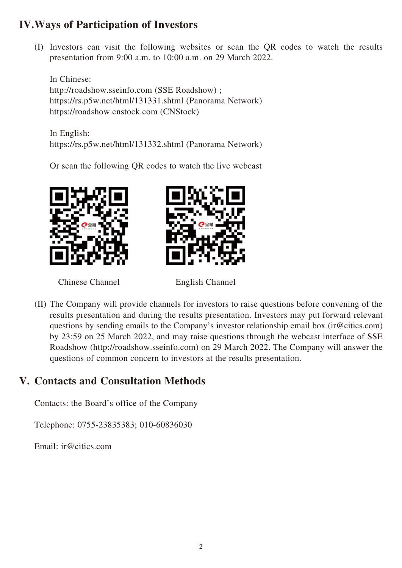# **IV.Ways of Participation of Investors**

(I) Investors can visit the following websites or scan the QR codes to watch the results presentation from 9:00 a.m. to 10:00 a.m. on 29 March 2022.

In Chinese: http://roadshow.sseinfo.com (SSE Roadshow) ; <https://rs.p5w.net/html/131331.shtml> (Panorama Network) https://roadshow.cnstock.com (CNStock)

In English: <https://rs.p5w.net/html/131332.shtml> (Panorama Network)

Or scan the following QR codes to watch the live webcast



Chinese Channel English Channel



(II) The Company will provide channels for investors to raise questions before convening of the results presentation and during the results presentation. Investors may put forward relevant questions by sending emails to the Company's investor relationship email box (ir@citics.com) by 23:59 on 25 March 2022, and may raise questions through the webcast interface of SSE Roadshow (http://roadshow.sseinfo.com) on 29 March 2022. The Company will answer the questions of common concern to investors at the results presentation.

# **V. Contacts and Consultation Methods**

Contacts: the Board's office of the Company

Telephone: 0755-23835383; 010-60836030

Email: ir@citics.com